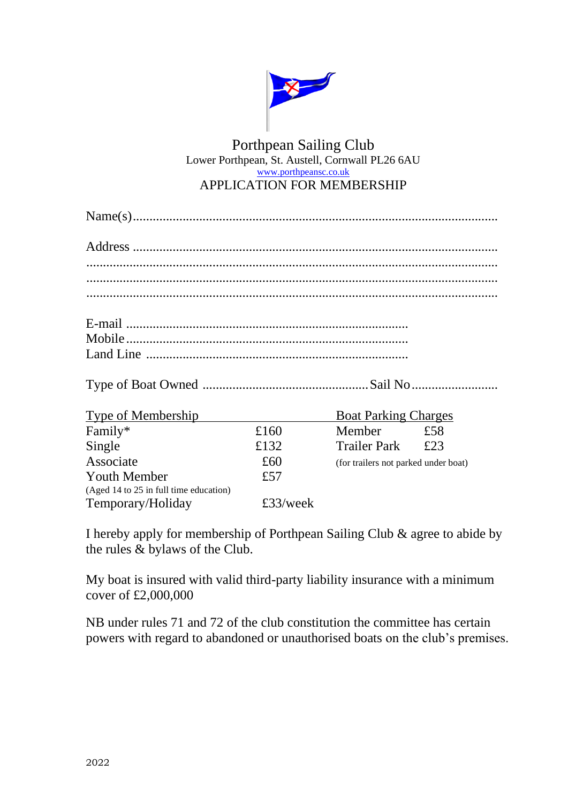

## Porthpean Sailing Club Lower Porthpean, St. Austell, Cornwall PL26 6AU [www.porthpeansc.co.uk](http://www.porthpeansc.co.uk/) APPLICATION FOR MEMBERSHIP

Type of Boat Owned ..................................................Sail No..........................

| <b>Type of Membership</b>              |          | <b>Boat Parking Charges</b>          |     |
|----------------------------------------|----------|--------------------------------------|-----|
| Family*                                | £160     | Member                               | £58 |
| Single                                 | £132     | <b>Trailer Park</b>                  | £23 |
| Associate                              | £60      | (for trailers not parked under boat) |     |
| <b>Youth Member</b>                    | £57      |                                      |     |
| (Aged 14 to 25 in full time education) |          |                                      |     |
| Temporary/Holiday                      | £33/week |                                      |     |

I hereby apply for membership of Porthpean Sailing Club & agree to abide by the rules & bylaws of the Club.

My boat is insured with valid third-party liability insurance with a minimum cover of £2,000,000

NB under rules 71 and 72 of the club constitution the committee has certain powers with regard to abandoned or unauthorised boats on the club's premises.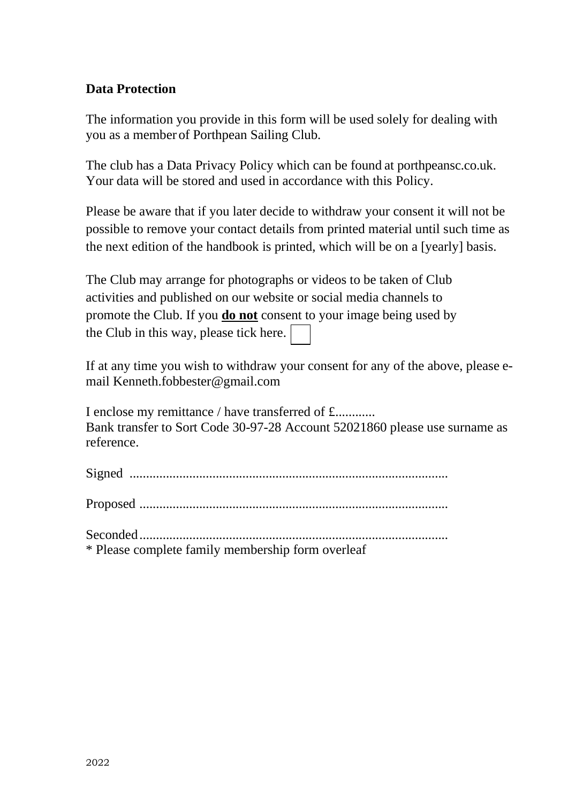## **Data Protection**

The information you provide in this form will be used solely for dealing with you as a member of Porthpean Sailing Club.

The club has a Data Privacy Policy which can be found at porthpeansc.co.uk. Your data will be stored and used in accordance with this Policy.

Please be aware that if you later decide to withdraw your consent it will not be possible to remove your contact details from printed material until such time as the next edition of the handbook is printed, which will be on a [yearly] basis.

The Club may arrange for photographs or videos to be taken of Club activities and published on our website or social media channels to promote the Club. If you **do not** consent to your image being used by the Club in this way, please tick here.

If at any time you wish to withdraw your consent for any of the above, please email Kenneth.fobbester@gmail.com

I enclose my remittance / have transferred of £............ Bank transfer to Sort Code 30-97-28 Account 52021860 please use surname as reference.

Signed ................................................................................................

Proposed .............................................................................................

Seconded.............................................................................................

\* Please complete family membership form overleaf